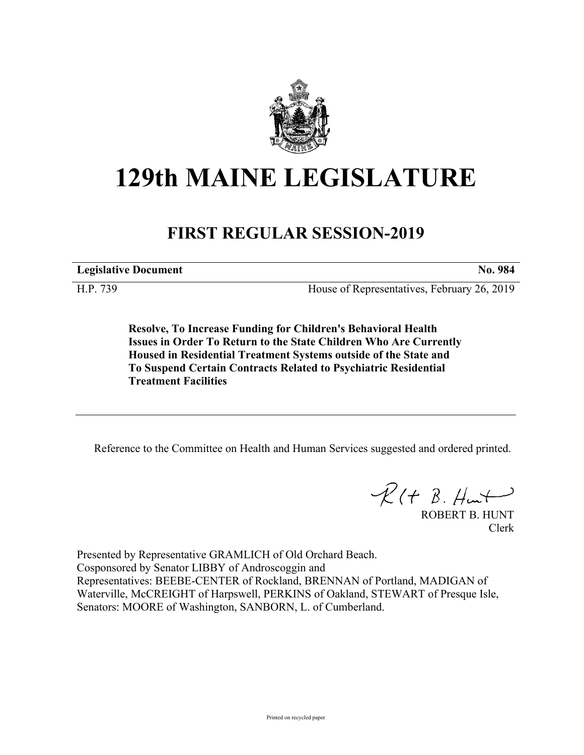

# **129th MAINE LEGISLATURE**

## **FIRST REGULAR SESSION-2019**

**Legislative Document No. 984**

H.P. 739 House of Representatives, February 26, 2019

**Resolve, To Increase Funding for Children's Behavioral Health Issues in Order To Return to the State Children Who Are Currently Housed in Residential Treatment Systems outside of the State and To Suspend Certain Contracts Related to Psychiatric Residential Treatment Facilities**

Reference to the Committee on Health and Human Services suggested and ordered printed.

 $R$ (†  $B.$  Hunt

ROBERT B. HUNT Clerk

Presented by Representative GRAMLICH of Old Orchard Beach. Cosponsored by Senator LIBBY of Androscoggin and Representatives: BEEBE-CENTER of Rockland, BRENNAN of Portland, MADIGAN of Waterville, McCREIGHT of Harpswell, PERKINS of Oakland, STEWART of Presque Isle, Senators: MOORE of Washington, SANBORN, L. of Cumberland.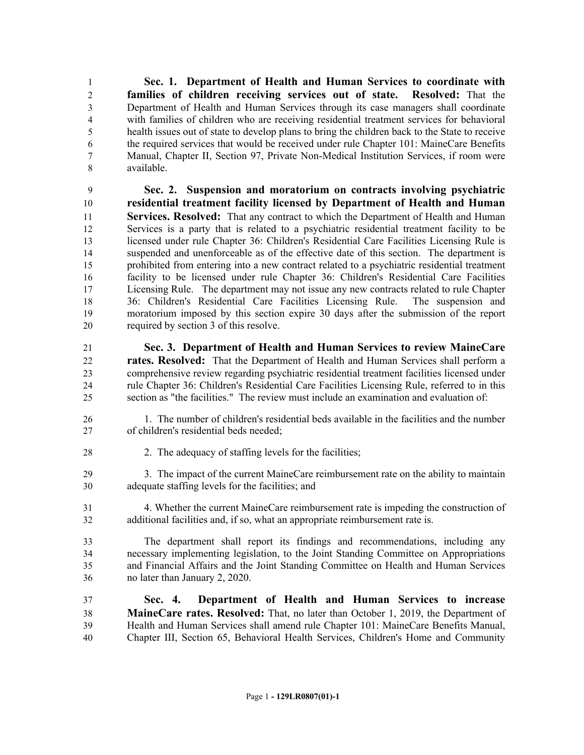**Sec. 1. Department of Health and Human Services to coordinate with families of children receiving services out of state. Resolved:** That the Department of Health and Human Services through its case managers shall coordinate with families of children who are receiving residential treatment services for behavioral health issues out of state to develop plans to bring the children back to the State to receive the required services that would be received under rule Chapter 101: MaineCare Benefits Manual, Chapter II, Section 97, Private Non-Medical Institution Services, if room were available.

 **Sec. 2. Suspension and moratorium on contracts involving psychiatric residential treatment facility licensed by Department of Health and Human Services. Resolved:** That any contract to which the Department of Health and Human Services is a party that is related to a psychiatric residential treatment facility to be licensed under rule Chapter 36: Children's Residential Care Facilities Licensing Rule is suspended and unenforceable as of the effective date of this section. The department is prohibited from entering into a new contract related to a psychiatric residential treatment facility to be licensed under rule Chapter 36: Children's Residential Care Facilities Licensing Rule. The department may not issue any new contracts related to rule Chapter 36: Children's Residential Care Facilities Licensing Rule. The suspension and moratorium imposed by this section expire 30 days after the submission of the report required by section 3 of this resolve.

- **Sec. 3. Department of Health and Human Services to review MaineCare rates. Resolved:** That the Department of Health and Human Services shall perform a comprehensive review regarding psychiatric residential treatment facilities licensed under rule Chapter 36: Children's Residential Care Facilities Licensing Rule, referred to in this section as "the facilities." The review must include an examination and evaluation of:
- 1. The number of children's residential beds available in the facilities and the number of children's residential beds needed;
- 28 2. The adequacy of staffing levels for the facilities;

 3. The impact of the current MaineCare reimbursement rate on the ability to maintain adequate staffing levels for the facilities; and

 4. Whether the current MaineCare reimbursement rate is impeding the construction of additional facilities and, if so, what an appropriate reimbursement rate is.

 The department shall report its findings and recommendations, including any necessary implementing legislation, to the Joint Standing Committee on Appropriations and Financial Affairs and the Joint Standing Committee on Health and Human Services no later than January 2, 2020.

 **Sec. 4. Department of Health and Human Services to increase MaineCare rates. Resolved:** That, no later than October 1, 2019, the Department of Health and Human Services shall amend rule Chapter 101: MaineCare Benefits Manual, Chapter III, Section 65, Behavioral Health Services, Children's Home and Community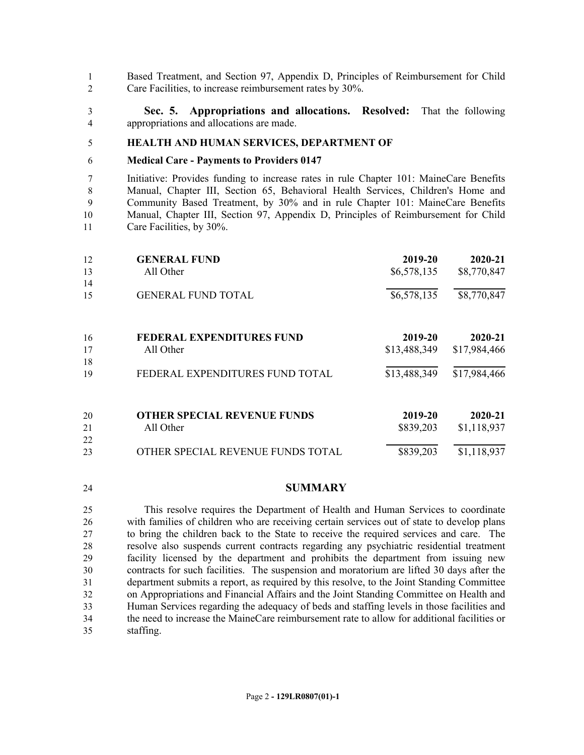Based Treatment, and Section 97, Appendix D, Principles of Reimbursement for Child Care Facilities, to increase reimbursement rates by 30%.

 **Sec. 5. Appropriations and allocations. Resolved:** That the following appropriations and allocations are made.

#### **HEALTH AND HUMAN SERVICES, DEPARTMENT OF**

#### **Medical Care - Payments to Providers 0147**

 Initiative: Provides funding to increase rates in rule Chapter 101: MaineCare Benefits Manual, Chapter III, Section 65, Behavioral Health Services, Children's Home and Community Based Treatment, by 30% and in rule Chapter 101: MaineCare Benefits Manual, Chapter III, Section 97, Appendix D, Principles of Reimbursement for Child Care Facilities, by 30%.

| 12 | <b>GENERAL FUND</b>                | 2019-20      | 2020-21      |
|----|------------------------------------|--------------|--------------|
| 13 | All Other                          | \$6,578,135  | \$8,770,847  |
| 14 |                                    |              |              |
| 15 | <b>GENERAL FUND TOTAL</b>          | \$6,578,135  | \$8,770,847  |
| 16 | <b>FEDERAL EXPENDITURES FUND</b>   | 2019-20      | 2020-21      |
| 17 | All Other                          | \$13,488,349 | \$17,984,466 |
| 18 |                                    |              |              |
| 19 | FEDERAL EXPENDITURES FUND TOTAL    | \$13,488,349 | \$17,984,466 |
| 20 | <b>OTHER SPECIAL REVENUE FUNDS</b> | 2019-20      | 2020-21      |
| 21 | All Other                          | \$839,203    | \$1,118,937  |
| 22 |                                    |              |              |
| 23 | OTHER SPECIAL REVENUE FUNDS TOTAL  | \$839,203    | \$1,118,937  |

### **SUMMARY**

 This resolve requires the Department of Health and Human Services to coordinate with families of children who are receiving certain services out of state to develop plans to bring the children back to the State to receive the required services and care. The resolve also suspends current contracts regarding any psychiatric residential treatment facility licensed by the department and prohibits the department from issuing new contracts for such facilities. The suspension and moratorium are lifted 30 days after the department submits a report, as required by this resolve, to the Joint Standing Committee on Appropriations and Financial Affairs and the Joint Standing Committee on Health and Human Services regarding the adequacy of beds and staffing levels in those facilities and the need to increase the MaineCare reimbursement rate to allow for additional facilities or staffing.